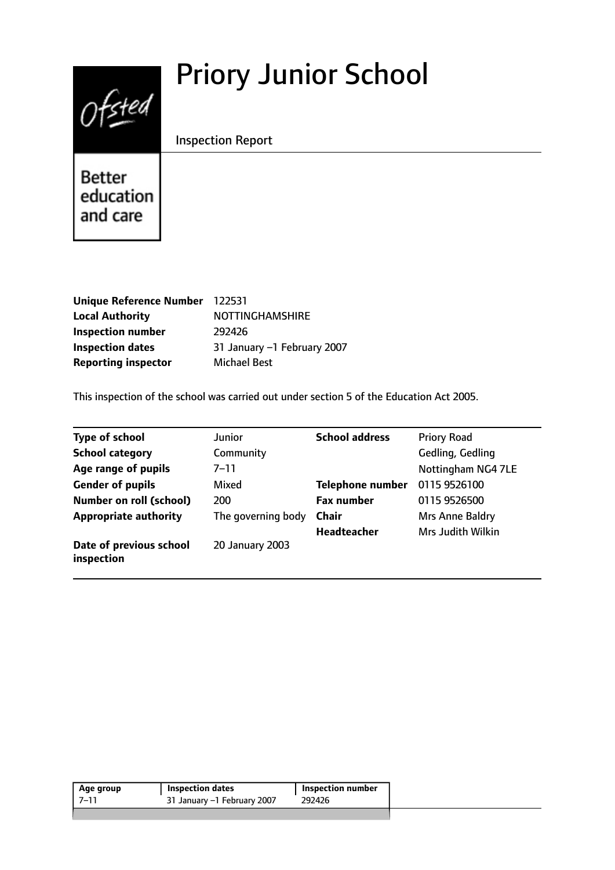# Priory Junior School



Inspection Report

Better education and care

| Unique Reference Number 122531 |                             |
|--------------------------------|-----------------------------|
| <b>Local Authority</b>         | <b>NOTTINGHAMSHIRE</b>      |
| <b>Inspection number</b>       | 292426                      |
| <b>Inspection dates</b>        | 31 January -1 February 2007 |
| <b>Reporting inspector</b>     | <b>Michael Best</b>         |

This inspection of the school was carried out under section 5 of the Education Act 2005.

| <b>Type of school</b>                 | <b>Junior</b>      | <b>School address</b>   | <b>Priory Road</b> |
|---------------------------------------|--------------------|-------------------------|--------------------|
| <b>School category</b>                | Community          |                         | Gedling, Gedling   |
| Age range of pupils                   | 7–11               |                         | Nottingham NG4 7LE |
| <b>Gender of pupils</b>               | Mixed              | <b>Telephone number</b> | 0115 9526100       |
| <b>Number on roll (school)</b>        | 200                | <b>Fax number</b>       | 0115 9526500       |
| <b>Appropriate authority</b>          | The governing body | <b>Chair</b>            | Mrs Anne Baldry    |
|                                       |                    | Headteacher             | Mrs Judith Wilkin  |
| Date of previous school<br>inspection | 20 January 2003    |                         |                    |

| Age group | Inspection dates            | Inspection number |
|-----------|-----------------------------|-------------------|
| ו-7       | 31 January -1 February 2007 | 292426            |
|           |                             |                   |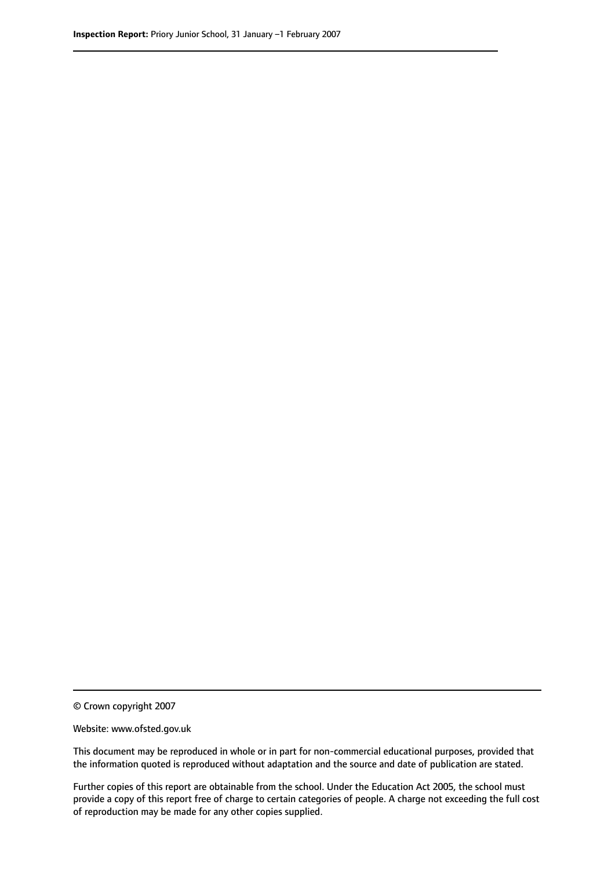© Crown copyright 2007

Website: www.ofsted.gov.uk

This document may be reproduced in whole or in part for non-commercial educational purposes, provided that the information quoted is reproduced without adaptation and the source and date of publication are stated.

Further copies of this report are obtainable from the school. Under the Education Act 2005, the school must provide a copy of this report free of charge to certain categories of people. A charge not exceeding the full cost of reproduction may be made for any other copies supplied.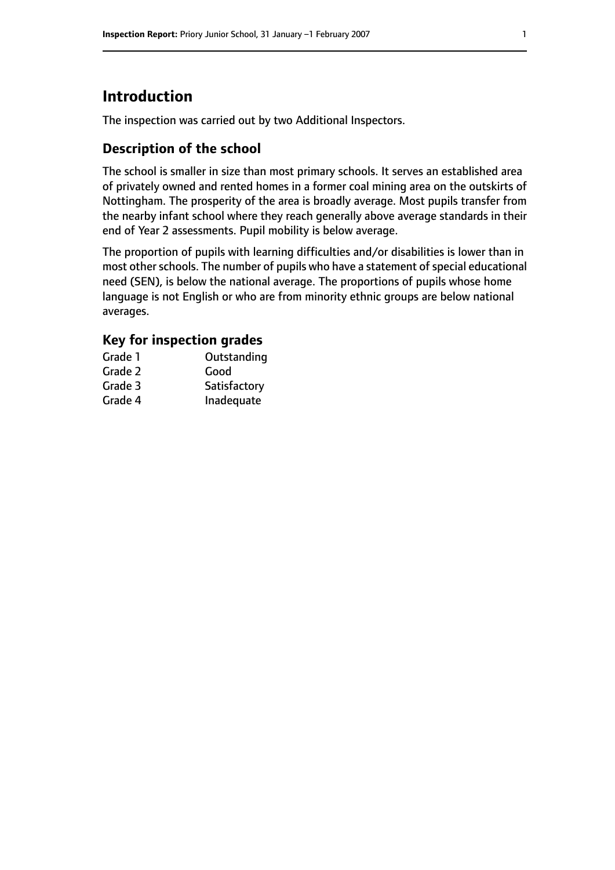# **Introduction**

The inspection was carried out by two Additional Inspectors.

## **Description of the school**

The school is smaller in size than most primary schools. It serves an established area of privately owned and rented homes in a former coal mining area on the outskirts of Nottingham. The prosperity of the area is broadly average. Most pupils transfer from the nearby infant school where they reach generally above average standards in their end of Year 2 assessments. Pupil mobility is below average.

The proportion of pupils with learning difficulties and/or disabilities is lower than in most other schools. The number of pupils who have a statement of special educational need (SEN), is below the national average. The proportions of pupils whose home language is not English or who are from minority ethnic groups are below national averages.

## **Key for inspection grades**

| Grade 1 | Outstanding  |
|---------|--------------|
| Grade 2 | Good         |
| Grade 3 | Satisfactory |
| Grade 4 | Inadequate   |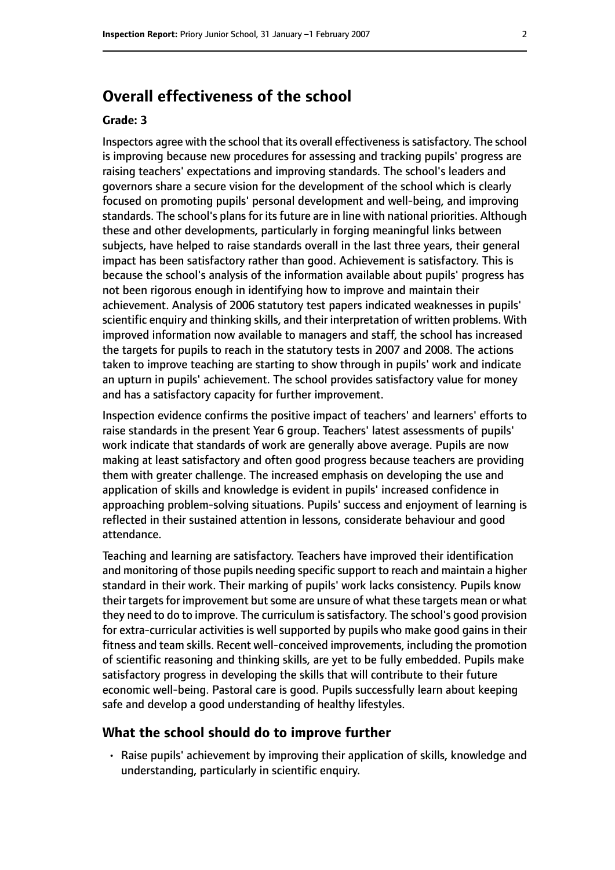## **Overall effectiveness of the school**

#### **Grade: 3**

Inspectors agree with the school that its overall effectiveness is satisfactory. The school is improving because new procedures for assessing and tracking pupils' progress are raising teachers' expectations and improving standards. The school's leaders and governors share a secure vision for the development of the school which is clearly focused on promoting pupils' personal development and well-being, and improving standards. The school's plans for its future are in line with national priorities. Although these and other developments, particularly in forging meaningful links between subjects, have helped to raise standards overall in the last three years, their general impact has been satisfactory rather than good. Achievement is satisfactory. This is because the school's analysis of the information available about pupils' progress has not been rigorous enough in identifying how to improve and maintain their achievement. Analysis of 2006 statutory test papers indicated weaknesses in pupils' scientific enquiry and thinking skills, and their interpretation of written problems. With improved information now available to managers and staff, the school has increased the targets for pupils to reach in the statutory tests in 2007 and 2008. The actions taken to improve teaching are starting to show through in pupils' work and indicate an upturn in pupils' achievement. The school provides satisfactory value for money and has a satisfactory capacity for further improvement.

Inspection evidence confirms the positive impact of teachers' and learners' efforts to raise standards in the present Year 6 group. Teachers' latest assessments of pupils' work indicate that standards of work are generally above average. Pupils are now making at least satisfactory and often good progress because teachers are providing them with greater challenge. The increased emphasis on developing the use and application of skills and knowledge is evident in pupils' increased confidence in approaching problem-solving situations. Pupils' success and enjoyment of learning is reflected in their sustained attention in lessons, considerate behaviour and good attendance.

Teaching and learning are satisfactory. Teachers have improved their identification and monitoring of those pupils needing specific support to reach and maintain a higher standard in their work. Their marking of pupils' work lacks consistency. Pupils know their targets for improvement but some are unsure of what these targets mean or what they need to do to improve. The curriculum is satisfactory. The school's good provision for extra-curricular activities is well supported by pupils who make good gains in their fitness and team skills. Recent well-conceived improvements, including the promotion of scientific reasoning and thinking skills, are yet to be fully embedded. Pupils make satisfactory progress in developing the skills that will contribute to their future economic well-being. Pastoral care is good. Pupils successfully learn about keeping safe and develop a good understanding of healthy lifestyles.

#### **What the school should do to improve further**

• Raise pupils' achievement by improving their application of skills, knowledge and understanding, particularly in scientific enquiry.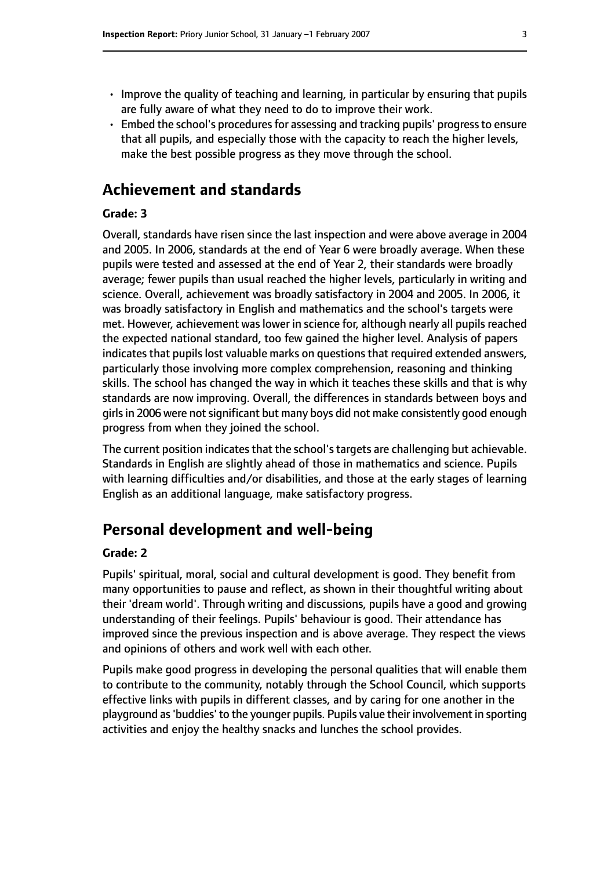- Improve the quality of teaching and learning, in particular by ensuring that pupils are fully aware of what they need to do to improve their work.
- Embed the school's procedures for assessing and tracking pupils' progress to ensure that all pupils, and especially those with the capacity to reach the higher levels, make the best possible progress as they move through the school.

## **Achievement and standards**

#### **Grade: 3**

Overall, standards have risen since the last inspection and were above average in 2004 and 2005. In 2006, standards at the end of Year 6 were broadly average. When these pupils were tested and assessed at the end of Year 2, their standards were broadly average; fewer pupils than usual reached the higher levels, particularly in writing and science. Overall, achievement was broadly satisfactory in 2004 and 2005. In 2006, it was broadly satisfactory in English and mathematics and the school's targets were met. However, achievement was lower in science for, although nearly all pupils reached the expected national standard, too few gained the higher level. Analysis of papers indicates that pupils lost valuable marks on questions that required extended answers, particularly those involving more complex comprehension, reasoning and thinking skills. The school has changed the way in which it teaches these skills and that is why standards are now improving. Overall, the differences in standards between boys and girls in 2006 were not significant but many boys did not make consistently good enough progress from when they joined the school.

The current position indicates that the school's targets are challenging but achievable. Standards in English are slightly ahead of those in mathematics and science. Pupils with learning difficulties and/or disabilities, and those at the early stages of learning English as an additional language, make satisfactory progress.

## **Personal development and well-being**

#### **Grade: 2**

Pupils' spiritual, moral, social and cultural development is good. They benefit from many opportunities to pause and reflect, as shown in their thoughtful writing about their 'dream world'. Through writing and discussions, pupils have a good and growing understanding of their feelings. Pupils' behaviour is good. Their attendance has improved since the previous inspection and is above average. They respect the views and opinions of others and work well with each other.

Pupils make good progress in developing the personal qualities that will enable them to contribute to the community, notably through the School Council, which supports effective links with pupils in different classes, and by caring for one another in the playground as'buddies' to the younger pupils. Pupils value their involvement in sporting activities and enjoy the healthy snacks and lunches the school provides.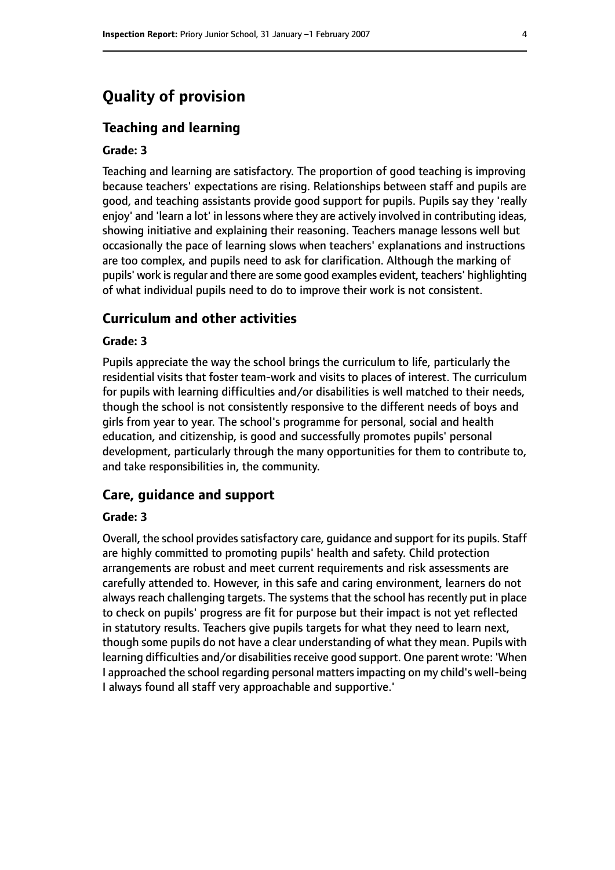## **Quality of provision**

#### **Teaching and learning**

#### **Grade: 3**

Teaching and learning are satisfactory. The proportion of good teaching is improving because teachers' expectations are rising. Relationships between staff and pupils are good, and teaching assistants provide good support for pupils. Pupils say they 'really enjoy' and 'learn a lot' in lessons where they are actively involved in contributing ideas, showing initiative and explaining their reasoning. Teachers manage lessons well but occasionally the pace of learning slows when teachers' explanations and instructions are too complex, and pupils need to ask for clarification. Although the marking of pupils' work is regular and there are some good examples evident, teachers' highlighting of what individual pupils need to do to improve their work is not consistent.

#### **Curriculum and other activities**

#### **Grade: 3**

Pupils appreciate the way the school brings the curriculum to life, particularly the residential visits that foster team-work and visits to places of interest. The curriculum for pupils with learning difficulties and/or disabilities is well matched to their needs, though the school is not consistently responsive to the different needs of boys and girls from year to year. The school's programme for personal, social and health education, and citizenship, is good and successfully promotes pupils' personal development, particularly through the many opportunities for them to contribute to, and take responsibilities in, the community.

#### **Care, guidance and support**

#### **Grade: 3**

Overall, the school provides satisfactory care, guidance and support for its pupils. Staff are highly committed to promoting pupils' health and safety. Child protection arrangements are robust and meet current requirements and risk assessments are carefully attended to. However, in this safe and caring environment, learners do not always reach challenging targets. The systems that the school has recently put in place to check on pupils' progress are fit for purpose but their impact is not yet reflected in statutory results. Teachers give pupils targets for what they need to learn next, though some pupils do not have a clear understanding of what they mean. Pupils with learning difficulties and/or disabilities receive good support. One parent wrote: 'When I approached the school regarding personal mattersimpacting on my child's well-being I always found all staff very approachable and supportive.'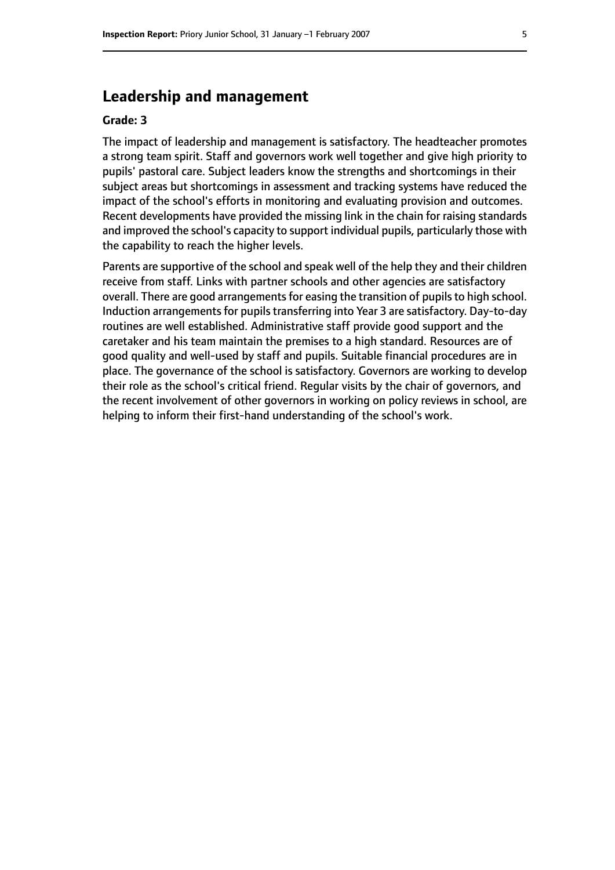## **Leadership and management**

#### **Grade: 3**

The impact of leadership and management is satisfactory. The headteacher promotes a strong team spirit. Staff and governors work well together and give high priority to pupils' pastoral care. Subject leaders know the strengths and shortcomings in their subject areas but shortcomings in assessment and tracking systems have reduced the impact of the school's efforts in monitoring and evaluating provision and outcomes. Recent developments have provided the missing link in the chain for raising standards and improved the school's capacity to support individual pupils, particularly those with the capability to reach the higher levels.

Parents are supportive of the school and speak well of the help they and their children receive from staff. Links with partner schools and other agencies are satisfactory overall. There are good arrangements for easing the transition of pupils to high school. Induction arrangements for pupils transferring into Year 3 are satisfactory. Day-to-day routines are well established. Administrative staff provide good support and the caretaker and his team maintain the premises to a high standard. Resources are of good quality and well-used by staff and pupils. Suitable financial procedures are in place. The governance of the school is satisfactory. Governors are working to develop their role as the school's critical friend. Regular visits by the chair of governors, and the recent involvement of other governors in working on policy reviews in school, are helping to inform their first-hand understanding of the school's work.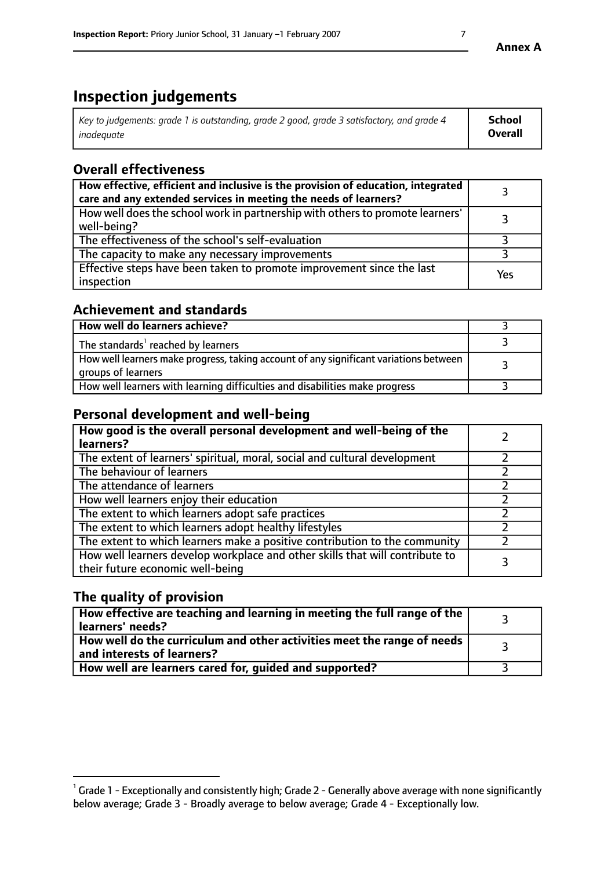# **Inspection judgements**

| Key to judgements: grade 1 is outstanding, grade 2 good, grade 3 satisfactory, and grade 4 | <b>School</b>  |
|--------------------------------------------------------------------------------------------|----------------|
| inadeauate                                                                                 | <b>Overall</b> |

## **Overall effectiveness**

| How effective, efficient and inclusive is the provision of education, integrated<br>care and any extended services in meeting the needs of learners? |     |
|------------------------------------------------------------------------------------------------------------------------------------------------------|-----|
| How well does the school work in partnership with others to promote learners'<br>well-being?                                                         |     |
| The effectiveness of the school's self-evaluation                                                                                                    |     |
| The capacity to make any necessary improvements                                                                                                      |     |
| Effective steps have been taken to promote improvement since the last<br>inspection                                                                  | Yes |

### **Achievement and standards**

| How well do learners achieve?                                                                               |  |
|-------------------------------------------------------------------------------------------------------------|--|
| The standards <sup>1</sup> reached by learners                                                              |  |
| How well learners make progress, taking account of any significant variations between<br>groups of learners |  |
| How well learners with learning difficulties and disabilities make progress                                 |  |

## **Personal development and well-being**

| How good is the overall personal development and well-being of the<br>learners?                                  |  |
|------------------------------------------------------------------------------------------------------------------|--|
| The extent of learners' spiritual, moral, social and cultural development                                        |  |
| The behaviour of learners                                                                                        |  |
| The attendance of learners                                                                                       |  |
| How well learners enjoy their education                                                                          |  |
| The extent to which learners adopt safe practices                                                                |  |
| The extent to which learners adopt healthy lifestyles                                                            |  |
| The extent to which learners make a positive contribution to the community                                       |  |
| How well learners develop workplace and other skills that will contribute to<br>their future economic well-being |  |

## **The quality of provision**

| How effective are teaching and learning in meeting the full range of the<br>learners' needs?          |  |
|-------------------------------------------------------------------------------------------------------|--|
| How well do the curriculum and other activities meet the range of needs<br>and interests of learners? |  |
| How well are learners cared for, guided and supported?                                                |  |

 $^1$  Grade 1 - Exceptionally and consistently high; Grade 2 - Generally above average with none significantly below average; Grade 3 - Broadly average to below average; Grade 4 - Exceptionally low.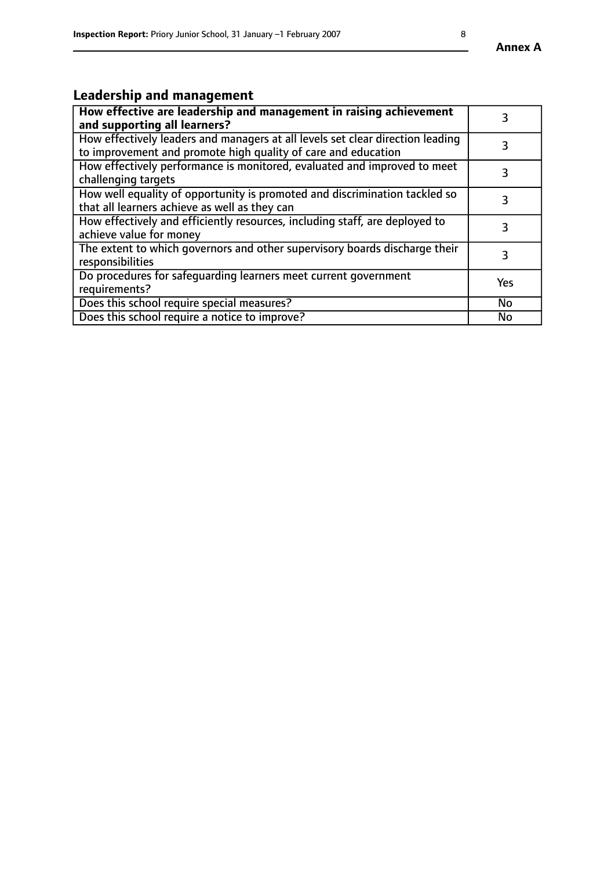# **Leadership and management**

| How effective are leadership and management in raising achievement<br>and supporting all learners?                                              |           |
|-------------------------------------------------------------------------------------------------------------------------------------------------|-----------|
| How effectively leaders and managers at all levels set clear direction leading<br>to improvement and promote high quality of care and education |           |
| How effectively performance is monitored, evaluated and improved to meet<br>challenging targets                                                 | 3         |
| How well equality of opportunity is promoted and discrimination tackled so<br>that all learners achieve as well as they can                     |           |
| How effectively and efficiently resources, including staff, are deployed to<br>achieve value for money                                          | 3         |
| The extent to which governors and other supervisory boards discharge their<br>responsibilities                                                  | 3         |
| Do procedures for safequarding learners meet current government<br>requirements?                                                                | Yes       |
| Does this school require special measures?                                                                                                      | <b>No</b> |
| Does this school require a notice to improve?                                                                                                   | No        |